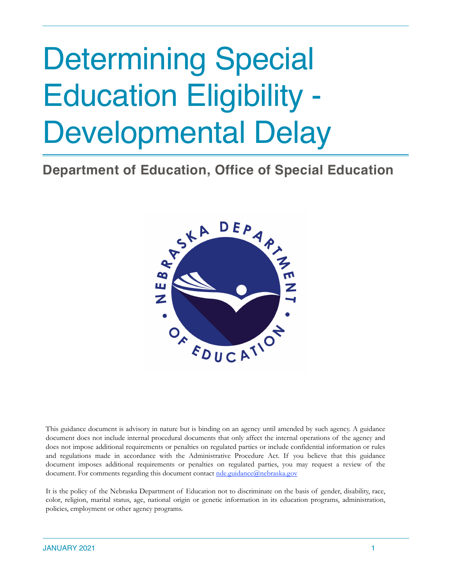# Determining Special Education Eligibility - Developmental Delay

**Department of Education, Office of Special Education**



This guidance document is advisory in nature but is binding on an agency until amended by such agency. A guidance document does not include internal procedural documents that only affect the internal operations of the agency and does not impose additional requirements or penalties on regulated parties or include confidential information or rules and regulations made in accordance with the Administrative Procedure Act. If you believe that this guidance document imposes additional requirements or penalties on regulated parties, you may request a review of the document. For comments regarding this document contact [nde.guidance@nebraska.gov](mailto:nde.guidance@nebraska.gov)

It is the policy of the Nebraska Department of Education not to discriminate on the basis of gender, disability, race, color, religion, marital status, age, national origin or genetic information in its education programs, administration, policies, employment or other agency programs.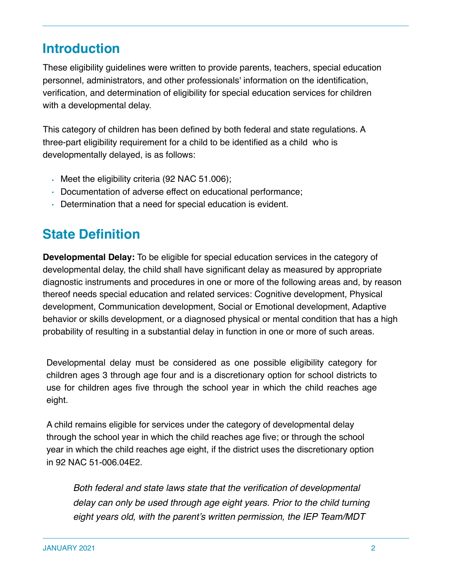# **Introduction**

These eligibility guidelines were written to provide parents, teachers, special education personnel, administrators, and other professionals' information on the identification, verification, and determination of eligibility for special education services for children with a developmental delay.

This category of children has been defined by both federal and state regulations. A three-part eligibility requirement for a child to be identified as a child who is developmentally delayed, is as follows:

- Meet the eligibility criteria (92 NAC 51.006);
- Documentation of adverse effect on educational performance;
- Determination that a need for special education is evident.

# **State Definition**

**Developmental Delay:** To be eligible for special education services in the category of developmental delay, the child shall have significant delay as measured by appropriate diagnostic instruments and procedures in one or more of the following areas and, by reason thereof needs special education and related services: Cognitive development, Physical development, Communication development, Social or Emotional development, Adaptive behavior or skills development, or a diagnosed physical or mental condition that has a high probability of resulting in a substantial delay in function in one or more of such areas.

Developmental delay must be considered as one possible eligibility category for children ages 3 through age four and is a discretionary option for school districts to use for children ages five through the school year in which the child reaches age eight.

A child remains eligible for services under the category of developmental delay through the school year in which the child reaches age five; or through the school year in which the child reaches age eight, if the district uses the discretionary option in 92 NAC 51-006.04E2.

*Both federal and state laws state that the verification of developmental delay can only be used through age eight years. Prior to the child turning eight years old, with the parent's written permission, the IEP Team/MDT*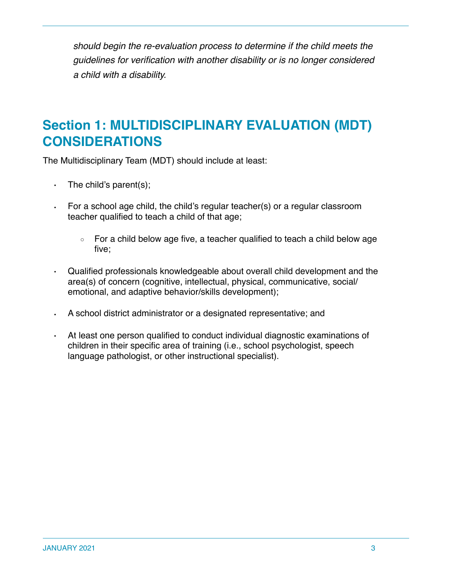*should begin the re-evaluation process to determine if the child meets the guidelines for verification with another disability or is no longer considered a child with a disability.*

# **Section 1: MULTIDISCIPLINARY EVALUATION (MDT) CONSIDERATIONS**

The Multidisciplinary Team (MDT) should include at least:

- The child's parent(s);
- For a school age child, the child's regular teacher(s) or a regular classroom teacher qualified to teach a child of that age;
	- For a child below age five, a teacher qualified to teach a child below age five;
- Qualified professionals knowledgeable about overall child development and the area(s) of concern (cognitive, intellectual, physical, communicative, social/ emotional, and adaptive behavior/skills development);
- A school district administrator or a designated representative; and
- At least one person qualified to conduct individual diagnostic examinations of children in their specific area of training (i.e., school psychologist, speech language pathologist, or other instructional specialist).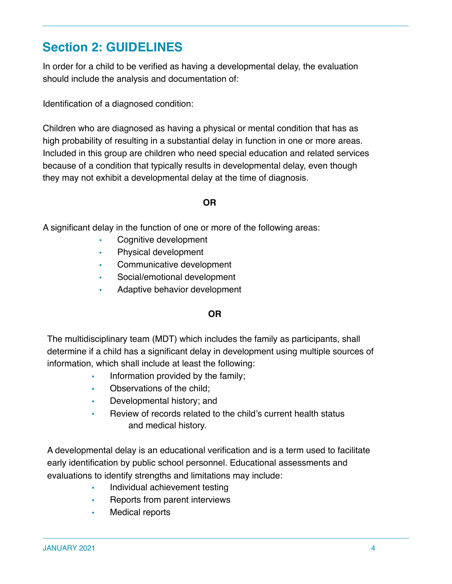# **Section 2: GUIDELINES**

In order for a child to be verified as having a developmental delay, the evaluation should include the analysis and documentation of:

Identification of a diagnosed condition:

Children who are diagnosed as having a physical or mental condition that has as high probability of resulting in a substantial delay in function in one or more areas. Included in this group are children who need special education and related services because of a condition that typically results in developmental delay, even though they may not exhibit a developmental delay at the time of diagnosis.

#### **OR**

A significant delay in the function of one or more of the following areas:

- Cognitive development
- Physical development
- Communicative development
- Social/emotional development
- Adaptive behavior development

#### **OR**

The multidisciplinary team (MDT) which includes the family as participants, shall determine if a child has a significant delay in development using multiple sources of information, which shall include at least the following:

- Information provided by the family;
- Observations of the child;
- Developmental history; and
- Review of records related to the child's current health status and medical history.

A developmental delay is an educational verification and is a term used to facilitate early identification by public school personnel. Educational assessments and evaluations to identify strengths and limitations may include:

- Individual achievement testing
- Reports from parent interviews
- Medical reports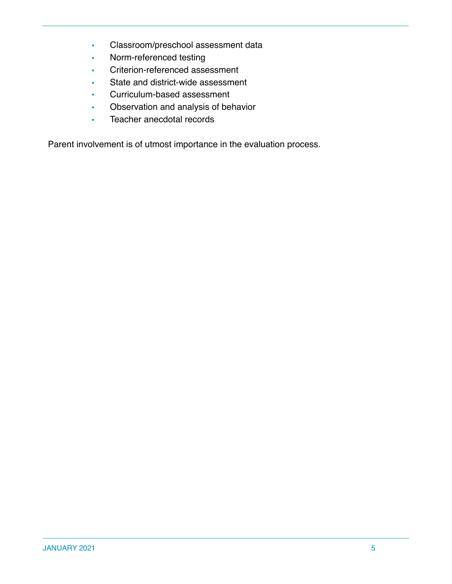- Classroom/preschool assessment data
- Norm-referenced testing
- Criterion-referenced assessment
- State and district-wide assessment
- Curriculum-based assessment
- Observation and analysis of behavior
- Teacher anecdotal records

Parent involvement is of utmost importance in the evaluation process.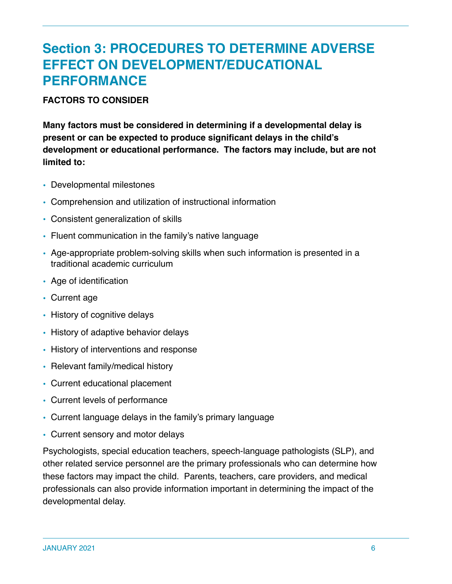# **Section 3: PROCEDURES TO DETERMINE ADVERSE EFFECT ON DEVELOPMENT/EDUCATIONAL PERFORMANCE**

#### **FACTORS TO CONSIDER**

**Many factors must be considered in determining if a developmental delay is present or can be expected to produce significant delays in the child's development or educational performance. The factors may include, but are not limited to:**

- Developmental milestones
- Comprehension and utilization of instructional information
- Consistent generalization of skills
- Fluent communication in the family's native language
- Age-appropriate problem-solving skills when such information is presented in a traditional academic curriculum
- Age of identification
- Current age
- History of cognitive delays
- History of adaptive behavior delays
- History of interventions and response
- Relevant family/medical history
- Current educational placement
- Current levels of performance
- Current language delays in the family's primary language
- Current sensory and motor delays

Psychologists, special education teachers, speech-language pathologists (SLP), and other related service personnel are the primary professionals who can determine how these factors may impact the child. Parents, teachers, care providers, and medical professionals can also provide information important in determining the impact of the developmental delay.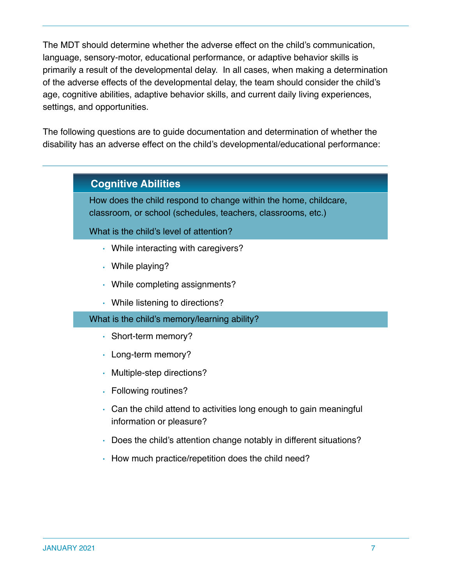The MDT should determine whether the adverse effect on the child's communication, language, sensory-motor, educational performance, or adaptive behavior skills is primarily a result of the developmental delay. In all cases, when making a determination of the adverse effects of the developmental delay, the team should consider the child's age, cognitive abilities, adaptive behavior skills, and current daily living experiences, settings, and opportunities.

The following questions are to guide documentation and determination of whether the disability has an adverse effect on the child's developmental/educational performance:

## **Cognitive Abilities**

How does the child respond to change within the home, childcare, classroom, or school (schedules, teachers, classrooms, etc.)

What is the child's level of attention?

- While interacting with caregivers?
- While playing?
- While completing assignments?
- While listening to directions?

#### What is the child's memory/learning ability?

- Short-term memory?
- Long-term memory?
- Multiple-step directions?
- Following routines?
- Can the child attend to activities long enough to gain meaningful information or pleasure?
- Does the child's attention change notably in different situations?
- How much practice/repetition does the child need?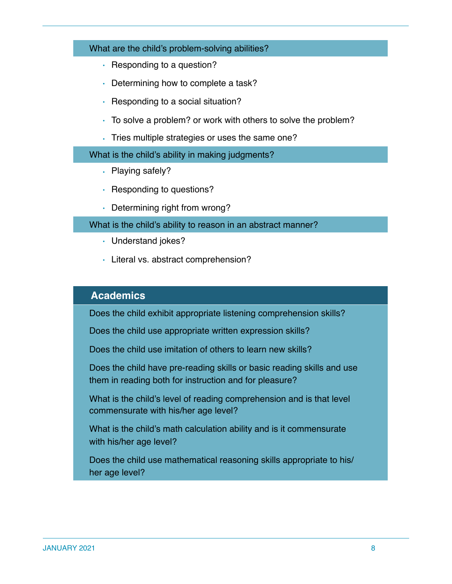#### What are the child's problem-solving abilities?

- Responding to a question?
- Determining how to complete a task?
- Responding to a social situation?
- To solve a problem? or work with others to solve the problem?
- Tries multiple strategies or uses the same one?

What is the child's ability in making judgments?

- Playing safely?
- Responding to questions?
- Determining right from wrong?

What is the child's ability to reason in an abstract manner?

- Understand jokes?
- Literal vs. abstract comprehension?

#### **Academics**

Does the child exhibit appropriate listening comprehension skills?

Does the child use appropriate written expression skills?

Does the child use imitation of others to learn new skills?

Does the child have pre-reading skills or basic reading skills and use them in reading both for instruction and for pleasure?

What is the child's level of reading comprehension and is that level commensurate with his/her age level?

What is the child's math calculation ability and is it commensurate with his/her age level?

Does the child use mathematical reasoning skills appropriate to his/ her age level?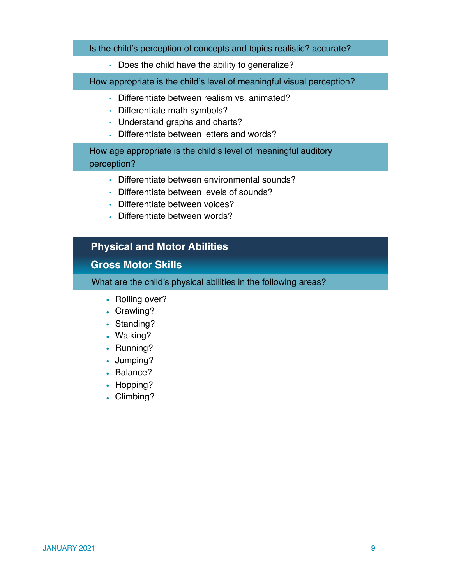#### Is the child's perception of concepts and topics realistic? accurate?

• Does the child have the ability to generalize?

How appropriate is the child's level of meaningful visual perception?

- Differentiate between realism vs. animated?
- Differentiate math symbols?
- Understand graphs and charts?
- Differentiate between letters and words?

How age appropriate is the child's level of meaningful auditory perception?

- Differentiate between environmental sounds?
- Differentiate between levels of sounds?
- Differentiate between voices?
- Differentiate between words?

## **Physical and Motor Abilities**

## **Gross Motor Skills**

What are the child's physical abilities in the following areas?

- Rolling over?
- Crawling?
- Standing?
- Walking?
- Running?
- Jumping?
- Balance?
- Hopping?
- Climbing?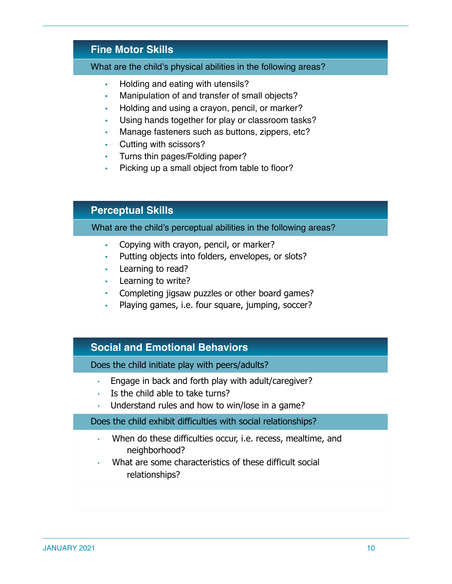## **Fine Motor Skills**

#### What are the child's physical abilities in the following areas?

- Holding and eating with utensils?
- Manipulation of and transfer of small objects?
- Holding and using a crayon, pencil, or marker?
- Using hands together for play or classroom tasks?
- Manage fasteners such as buttons, zippers, etc?
- Cutting with scissors?
- Turns thin pages/Folding paper?
- Picking up a small object from table to floor?

## **Perceptual Skills**

#### What are the child's perceptual abilities in the following areas?

- Copying with crayon, pencil, or marker?
- Putting objects into folders, envelopes, or slots?
- Learning to read?
- Learning to write?
- Completing jigsaw puzzles or other board games?
- Playing games, i.e. four square, jumping, soccer?

#### **Social and Emotional Behaviors**

Does the child initiate play with peers/adults?

- Engage in back and forth play with adult/caregiver?
- Is the child able to take turns?
- Understand rules and how to win/lose in a game?

#### Does the child exhibit difficulties with social relationships?

- When do these difficulties occur, i.e. recess, mealtime, and neighborhood?
- What are some characteristics of these difficult social relationships?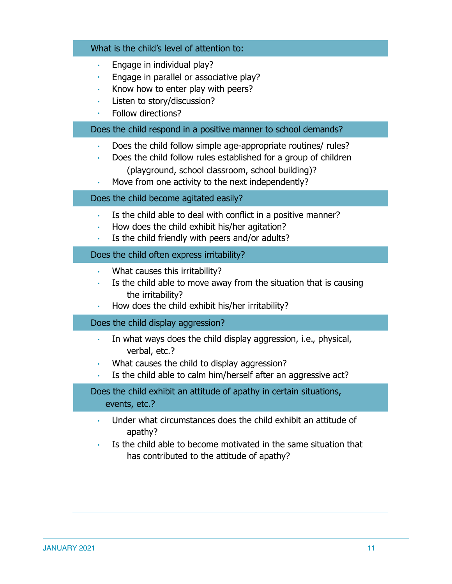|                | What is the child's level of attention to:                                                                                                                                                                                                |
|----------------|-------------------------------------------------------------------------------------------------------------------------------------------------------------------------------------------------------------------------------------------|
| ٠<br>$\bullet$ | Engage in individual play?<br>Engage in parallel or associative play?<br>Know how to enter play with peers?<br>Listen to story/discussion?<br>Follow directions?                                                                          |
|                | Does the child respond in a positive manner to school demands?                                                                                                                                                                            |
| $\bullet$      | Does the child follow simple age-appropriate routines/ rules?<br>Does the child follow rules established for a group of children<br>(playground, school classroom, school building)?<br>Move from one activity to the next independently? |
|                | Does the child become agitated easily?                                                                                                                                                                                                    |
| $\bullet$      | Is the child able to deal with conflict in a positive manner?<br>How does the child exhibit his/her agitation?<br>Is the child friendly with peers and/or adults?                                                                         |
|                | Does the child often express irritability?                                                                                                                                                                                                |
| $\bullet$      | What causes this irritability?<br>Is the child able to move away from the situation that is causing<br>the irritability?<br>How does the child exhibit his/her irritability?                                                              |
|                | Does the child display aggression?                                                                                                                                                                                                        |
|                | In what ways does the child display aggression, i.e., physical,<br>verbal, etc.?<br>What causes the child to display aggression?<br>Is the child able to calm him/herself after an aggressive act?                                        |
|                | Does the child exhibit an attitude of apathy in certain situations,<br>events, etc.?                                                                                                                                                      |
|                | Under what circumstances does the child exhibit an attitude of<br>apathy?<br>Is the child able to become motivated in the same situation that<br>has contributed to the attitude of apathy?                                               |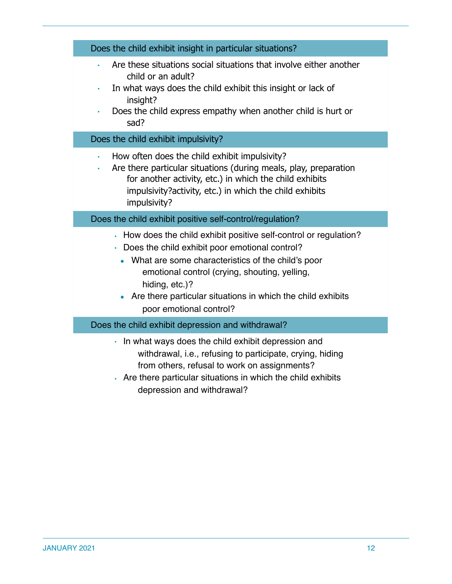| Does the child exhibit insight in particular situations?                                                                                                                                                                                                                                                                                  |  |
|-------------------------------------------------------------------------------------------------------------------------------------------------------------------------------------------------------------------------------------------------------------------------------------------------------------------------------------------|--|
| Are these situations social situations that involve either another<br>$\bullet$<br>child or an adult?<br>In what ways does the child exhibit this insight or lack of<br>$\bullet$<br>insight?<br>Does the child express empathy when another child is hurt or<br>$\bullet$<br>sad?                                                        |  |
| Does the child exhibit impulsivity?                                                                                                                                                                                                                                                                                                       |  |
| How often does the child exhibit impulsivity?<br>$\bullet$<br>Are there particular situations (during meals, play, preparation<br>$\bullet$<br>for another activity, etc.) in which the child exhibits<br>impulsivity?activity, etc.) in which the child exhibits<br>impulsivity?                                                         |  |
| Does the child exhibit positive self-control/regulation?                                                                                                                                                                                                                                                                                  |  |
| . How does the child exhibit positive self-control or regulation?<br>• Does the child exhibit poor emotional control?<br>• What are some characteristics of the child's poor<br>emotional control (crying, shouting, yelling,<br>hiding, etc.)?<br>Are there particular situations in which the child exhibits<br>poor emotional control? |  |
| Does the child exhibit depression and withdrawal?                                                                                                                                                                                                                                                                                         |  |
| • In what ways does the child exhibit depression and<br>withdrawal, i.e., refusing to participate, crying, hiding                                                                                                                                                                                                                         |  |

- from others, refusal to work on assignments?
- Are there particular situations in which the child exhibits depression and withdrawal?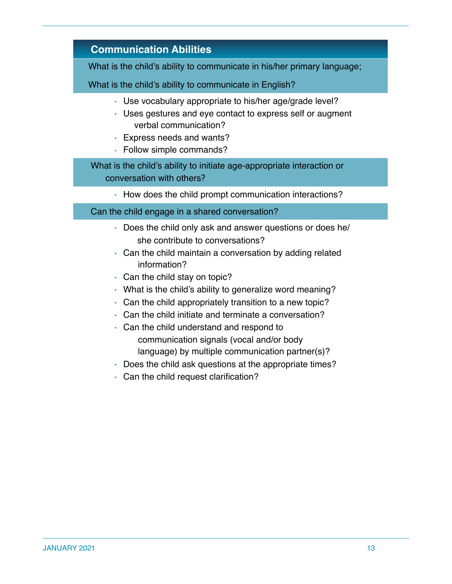# **Communication Abilities**

What is the child's ability to communicate in his/her primary language;

What is the child's ability to communicate in English?

- Use vocabulary appropriate to his/her age/grade level?
- Uses gestures and eye contact to express self or augment verbal communication?
- Express needs and wants?
- Follow simple commands?

### What is the child's ability to initiate age-appropriate interaction or conversation with others?

• How does the child prompt communication interactions?

#### Can the child engage in a shared conversation?

- Does the child only ask and answer questions or does he/ she contribute to conversations?
- Can the child maintain a conversation by adding related information?
- Can the child stay on topic?
- What is the child's ability to generalize word meaning?
- Can the child appropriately transition to a new topic?
- Can the child initiate and terminate a conversation?
- Can the child understand and respond to communication signals (vocal and/or body language) by multiple communication partner(s)?
- Does the child ask questions at the appropriate times?
- Can the child request clarification?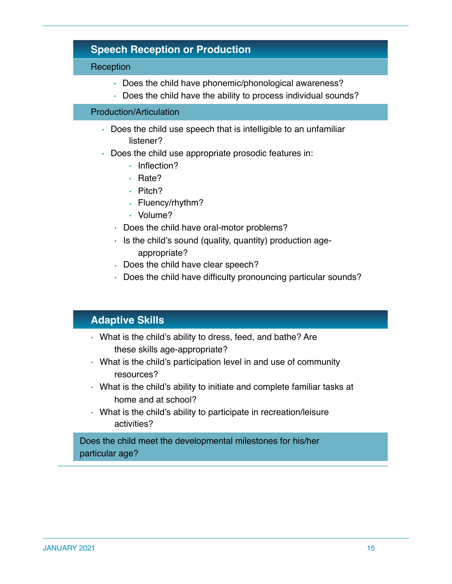|           | <b>Speech Reception or Production</b>                                                                                                                                                                                                                                                                                                                                                                                                                                                 |
|-----------|---------------------------------------------------------------------------------------------------------------------------------------------------------------------------------------------------------------------------------------------------------------------------------------------------------------------------------------------------------------------------------------------------------------------------------------------------------------------------------------|
| Reception |                                                                                                                                                                                                                                                                                                                                                                                                                                                                                       |
|           | Does the child have phonemic/phonological awareness?<br>• Does the child have the ability to process individual sounds?                                                                                                                                                                                                                                                                                                                                                               |
|           | <b>Production/Articulation</b>                                                                                                                                                                                                                                                                                                                                                                                                                                                        |
| $\bullet$ | • Does the child use speech that is intelligible to an unfamiliar<br>listener?<br>Does the child use appropriate prosodic features in:<br>Inflection?<br>$\bullet$<br>Rate?<br>$\bullet$<br>Pitch?<br>$\bullet$<br>· Fluency/rhythm?<br>· Volume?<br>• Does the child have oral-motor problems?<br>• Is the child's sound (quality, quantity) production age-<br>appropriate?<br>. Does the child have clear speech?<br>Does the child have difficulty pronouncing particular sounds? |
|           | <b>Adaptive Skills</b>                                                                                                                                                                                                                                                                                                                                                                                                                                                                |
|           | • What is the child's ability to dress, feed, and bathe? Are<br>these skills age-appropriate?<br>• What is the child's participation level in and use of community<br>resources?<br>What is the child's ability to initiate and complete familiar tasks at<br>home and at school?<br>• What is the child's ability to participate in recreation/leisure<br>activities?                                                                                                                |
|           | Does the child meet the developmental milestones for his/her<br>particular age?                                                                                                                                                                                                                                                                                                                                                                                                       |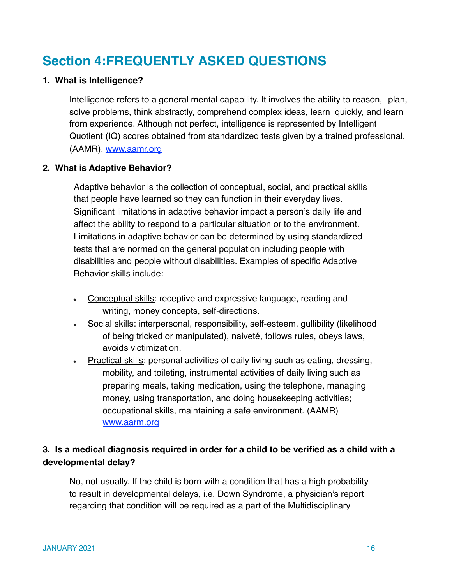# **Section 4:FREQUENTLY ASKED QUESTIONS**

#### **1. What is Intelligence?**

Intelligence refers to a general mental capability. It involves the ability to reason, plan, solve problems, think abstractly, comprehend complex ideas, learn quickly, and learn from experience. Although not perfect, intelligence is represented by Intelligent Quotient (IQ) scores obtained from standardized tests given by a trained professional. (AAMR). [www.aamr.org](http://www.aamr.org/)

#### **2. What is Adaptive Behavior?**

Adaptive behavior is the collection of conceptual, social, and practical skills that people have learned so they can function in their everyday lives. Significant limitations in adaptive behavior impact a person's daily life and affect the ability to respond to a particular situation or to the environment. Limitations in adaptive behavior can be determined by using standardized tests that are normed on the general population including people with disabilities and people without disabilities. Examples of specific Adaptive Behavior skills include:

- Conceptual skills: receptive and expressive language, reading and writing, money concepts, self-directions.
- Social skills: interpersonal, responsibility, self-esteem, gullibility (likelihood of being tricked or manipulated), naiveté, follows rules, obeys laws, avoids victimization.
- Practical skills: personal activities of daily living such as eating, dressing, mobility, and toileting, instrumental activities of daily living such as preparing meals, taking medication, using the telephone, managing money, using transportation, and doing housekeeping activities; occupational skills, maintaining a safe environment. (AAMR) [www.aarm.org](http://www.aarm.org/)

## **3. Is a medical diagnosis required in order for a child to be verified as a child with a developmental delay?**

No, not usually. If the child is born with a condition that has a high probability to result in developmental delays, i.e. Down Syndrome, a physician's report regarding that condition will be required as a part of the Multidisciplinary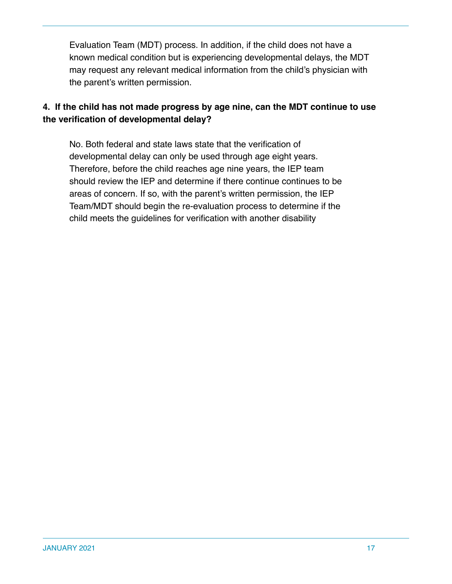Evaluation Team (MDT) process. In addition, if the child does not have a known medical condition but is experiencing developmental delays, the MDT may request any relevant medical information from the child's physician with the parent's written permission.

## **4. If the child has not made progress by age nine, can the MDT continue to use the verification of developmental delay?**

No. Both federal and state laws state that the verification of developmental delay can only be used through age eight years. Therefore, before the child reaches age nine years, the IEP team should review the IEP and determine if there continue continues to be areas of concern. If so, with the parent's written permission, the IEP Team/MDT should begin the re-evaluation process to determine if the child meets the guidelines for verification with another disability